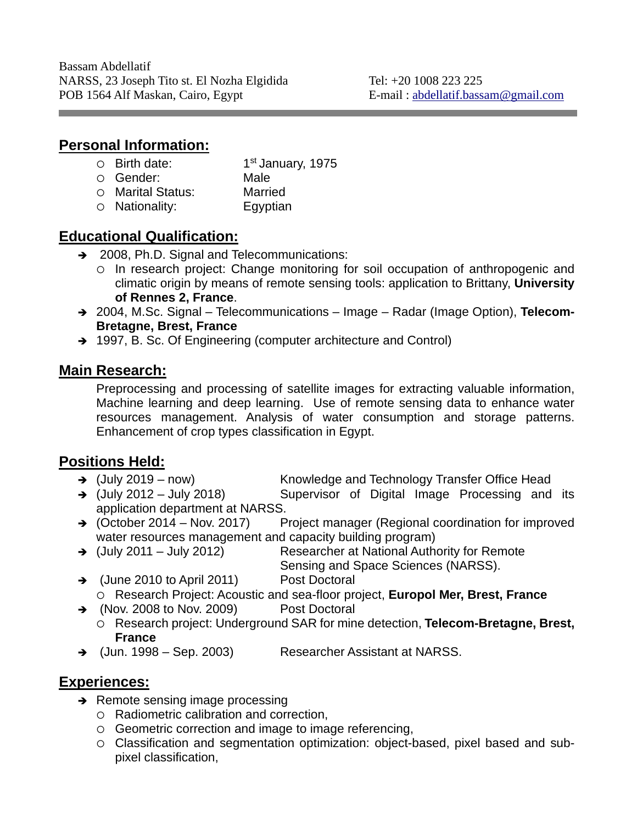# **Personal Information:**

| $\circ$ Birth date:  | 1 <sup>st</sup> January, 1975 |
|----------------------|-------------------------------|
| ○ Gender:            | Male                          |
| O Marital Status:    | <b>Married</b>                |
| $\circ$ Nationality: | Egyptian                      |

# **Educational Qualification:**

- → 2008, Ph.D. Signal and Telecommunications:
	- In research project: Change monitoring for soil occupation of anthropogenic and climatic origin by means of remote sensing tools: application to Brittany, **University of Rennes 2, France**.
- 2004, M.Sc. Signal Telecommunications Image Radar (Image Option), **Telecom-Bretagne, Brest, France**
- → 1997, B. Sc. Of Engineering (computer architecture and Control)

# **Main Research:**

Preprocessing and processing of satellite images for extracting valuable information, Machine learning and deep learning. Use of remote sensing data to enhance water resources management. Analysis of water consumption and storage patterns. Enhancement of crop types classification in Egypt.

# **Positions Held:**

- 
- → (July 2019 now) Knowledge and Technology Transfer Office Head<br>→ (July 2012 July 2018) Supervisor of Digital Image Processing and Supervisor of Digital Image Processing and its application department at NARSS.
- $\rightarrow$  (October 2014 Nov. 2017) Project manager (Regional coordination for improved water resources management and capacity building program)
- → (July 2011 July 2012) Researcher at National Authority for Remote Sensing and Space Sciences (NARSS).
- → (June 2010 to April 2011) Post Doctoral Research Project: Acoustic and sea-floor project, **Europol Mer, Brest, France**
- → (Nov. 2008 to Nov. 2009) Post Doctoral
	- Research project: Underground SAR for mine detection, **Telecom-Bretagne, Brest, France**
- → (Jun. 1998 Sep. 2003) Researcher Assistant at NARSS.

# **Experiences:**

- $\rightarrow$  Remote sensing image processing
	- Radiometric calibration and correction,
	- Geometric correction and image to image referencing,
	- Classification and segmentation optimization: object-based, pixel based and subpixel classification,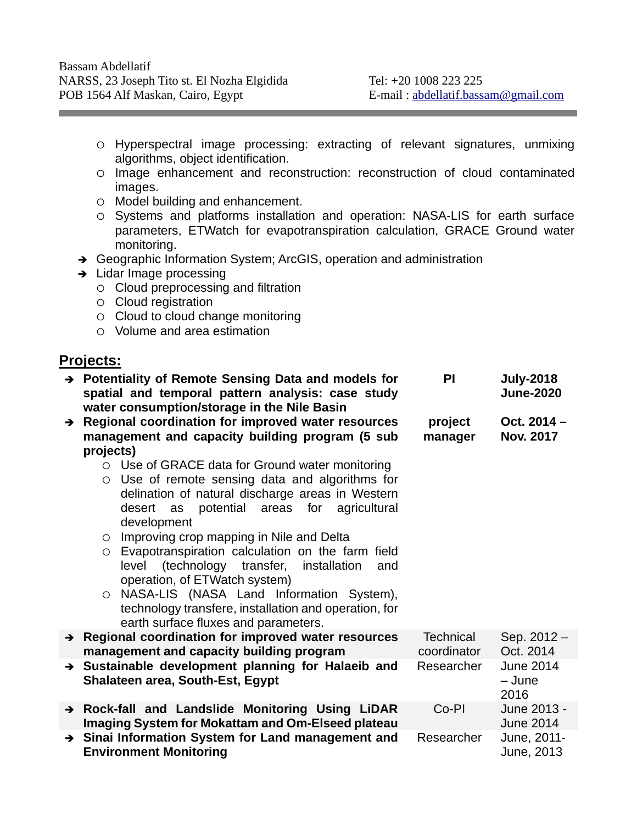- Hyperspectral image processing: extracting of relevant signatures, unmixing algorithms, object identification.
- Image enhancement and reconstruction: reconstruction of cloud contaminated images.
- Model building and enhancement.
- o Systems and platforms installation and operation: NASA-LIS for earth surface parameters, ETWatch for evapotranspiration calculation, GRACE Ground water monitoring.
- → Geographic Information System; ArcGIS, operation and administration
- $\rightarrow$  Lidar Image processing
	- $\circ$  Cloud preprocessing and filtration
	- $\circ$  Cloud registration
	- $\circ$  Cloud to cloud change monitoring
	- Volume and area estimation

#### **Projects:**

|               | $\rightarrow$ Potentiality of Remote Sensing Data and models for<br>spatial and temporal pattern analysis: case study<br>water consumption/storage in the Nile Basin                                                                                                                                                                                                                                                                                                                                                                                                                                         | <b>PI</b>                       | <b>July-2018</b><br><b>June-2020</b> |
|---------------|--------------------------------------------------------------------------------------------------------------------------------------------------------------------------------------------------------------------------------------------------------------------------------------------------------------------------------------------------------------------------------------------------------------------------------------------------------------------------------------------------------------------------------------------------------------------------------------------------------------|---------------------------------|--------------------------------------|
|               | $\rightarrow$ Regional coordination for improved water resources<br>management and capacity building program (5 sub<br>projects)                                                                                                                                                                                                                                                                                                                                                                                                                                                                             | project<br>manager              | Oct. $2014 -$<br><b>Nov. 2017</b>    |
|               | Use of GRACE data for Ground water monitoring<br>$\bigcap$<br>Use of remote sensing data and algorithms for<br>$\circ$<br>delination of natural discharge areas in Western<br>potential areas for agricultural<br>desert as<br>development<br>$\circ$ Improving crop mapping in Nile and Delta<br>Evapotranspiration calculation on the farm field<br>$\circ$<br>(technology transfer, installation<br>level<br>and<br>operation, of ETWatch system)<br>NASA-LIS (NASA Land Information System),<br>$\circ$<br>technology transfere, installation and operation, for<br>earth surface fluxes and parameters. |                                 |                                      |
|               | $\rightarrow$ Regional coordination for improved water resources<br>management and capacity building program                                                                                                                                                                                                                                                                                                                                                                                                                                                                                                 | <b>Technical</b><br>coordinator | Sep. 2012 -<br>Oct. 2014             |
|               | $\rightarrow$ Sustainable development planning for Halaeib and<br><b>Shalateen area, South-Est, Egypt</b>                                                                                                                                                                                                                                                                                                                                                                                                                                                                                                    | Researcher                      | <b>June 2014</b><br>- June<br>2016   |
|               | > Rock-fall and Landslide Monitoring Using LiDAR<br>Imaging System for Mokattam and Om-Elseed plateau                                                                                                                                                                                                                                                                                                                                                                                                                                                                                                        | Co-PI                           | June 2013 -<br><b>June 2014</b>      |
| $\rightarrow$ | Sinai Information System for Land management and<br><b>Environment Monitoring</b>                                                                                                                                                                                                                                                                                                                                                                                                                                                                                                                            | Researcher                      | June, 2011-<br>June, 2013            |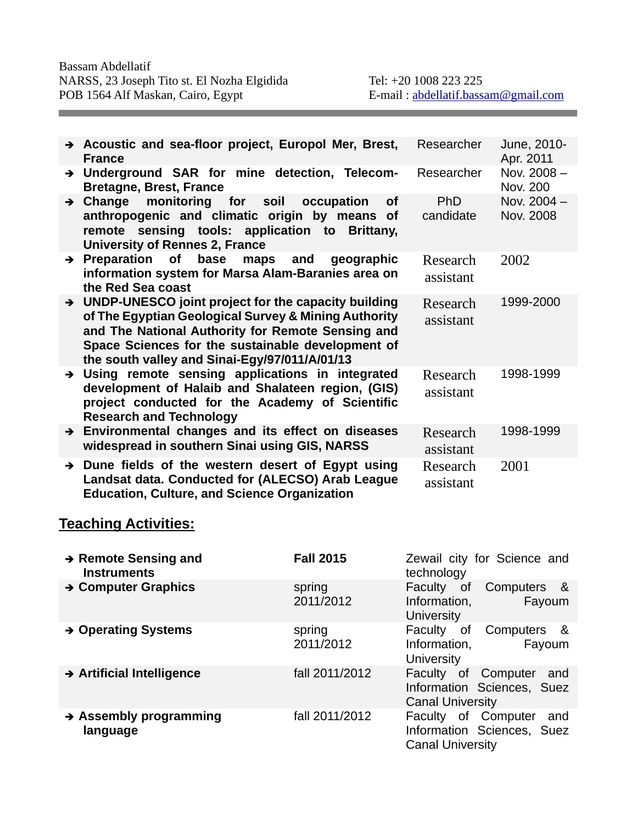|               | $\rightarrow$ Acoustic and sea-floor project, Europol Mer, Brest,<br><b>France</b>                                                                                                                                                                                       | Researcher              | June, 2010-<br>Apr. 2011 |
|---------------|--------------------------------------------------------------------------------------------------------------------------------------------------------------------------------------------------------------------------------------------------------------------------|-------------------------|--------------------------|
|               | > Underground SAR for mine detection, Telecom-<br><b>Bretagne, Brest, France</b>                                                                                                                                                                                         | Researcher              | Nov. 2008-<br>Nov. 200   |
|               | $\rightarrow$ Change monitoring for soil<br>occupation<br><b>of</b><br>anthropogenic and climatic origin by means of<br>remote sensing tools: application to<br>Brittany,<br><b>University of Rennes 2, France</b>                                                       | <b>PhD</b><br>candidate | Nov. 2004 -<br>Nov. 2008 |
|               | $\rightarrow$ Preparation<br>of<br>base<br>maps and<br>geographic<br>information system for Marsa Alam-Baranies area on<br>the Red Sea coast                                                                                                                             | Research<br>assistant   | 2002                     |
|               | > UNDP-UNESCO joint project for the capacity building<br>of The Egyptian Geological Survey & Mining Authority<br>and The National Authority for Remote Sensing and<br>Space Sciences for the sustainable development of<br>the south valley and Sinai-Egy/97/011/A/01/13 | Research<br>assistant   | 1999-2000                |
|               | > Using remote sensing applications in integrated<br>development of Halaib and Shalateen region, (GIS)<br>project conducted for the Academy of Scientific<br><b>Research and Technology</b>                                                                              | Research<br>assistant   | 1998-1999                |
|               | $\rightarrow$ Environmental changes and its effect on diseases<br>widespread in southern Sinai using GIS, NARSS                                                                                                                                                          | Research<br>assistant   | 1998-1999                |
| $\rightarrow$ | Dune fields of the western desert of Egypt using<br>Landsat data. Conducted for (ALECSO) Arab League<br><b>Education, Culture, and Science Organization</b>                                                                                                              | Research<br>assistant   | 2001                     |

# **Teaching Activities:**

| $\rightarrow$ Remote Sensing and<br><b>Instruments</b> | <b>Fall 2015</b>    | Zewail city for Science and<br>technology                                           |
|--------------------------------------------------------|---------------------|-------------------------------------------------------------------------------------|
| $\rightarrow$ Computer Graphics                        | spring<br>2011/2012 | Faculty of<br>Computers<br>_&<br>Information,<br>Fayoum<br><b>University</b>        |
| → Operating Systems                                    | spring<br>2011/2012 | Faculty<br>Computers<br>_&<br>0f<br>Information,<br>Fayoum<br>University            |
| $\rightarrow$ Artificial Intelligence                  | fall 2011/2012      | Faculty of Computer<br>and<br>Information Sciences, Suez<br><b>Canal University</b> |
| $\rightarrow$ Assembly programming<br>language         | fall 2011/2012      | Faculty of Computer<br>and<br>Information Sciences, Suez<br><b>Canal University</b> |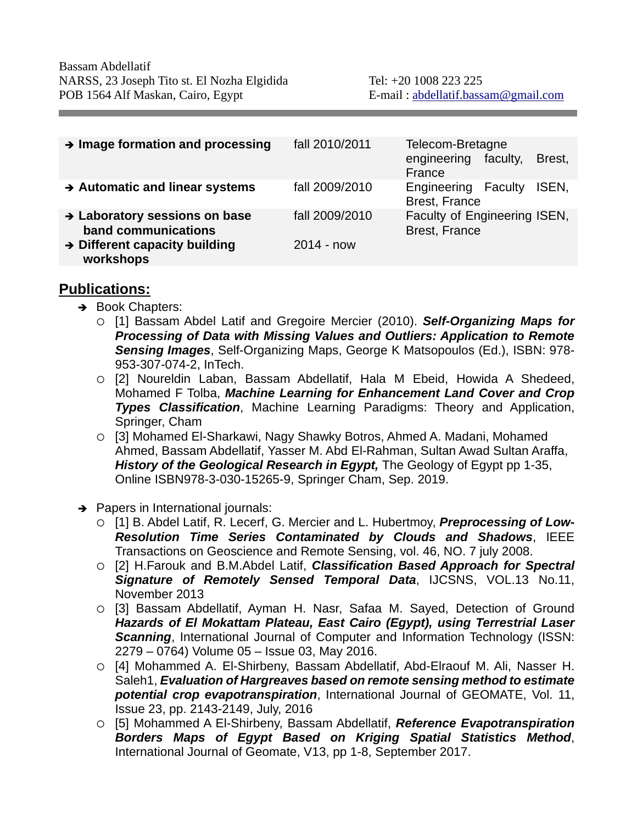| $\rightarrow$ Image formation and processing           | fall 2010/2011 | Telecom-Bretagne<br>engineering<br>faculty,<br>Brest,<br>France |
|--------------------------------------------------------|----------------|-----------------------------------------------------------------|
| $\rightarrow$ Automatic and linear systems             | fall 2009/2010 | Engineering<br>ISEN,<br>Faculty<br>Brest, France                |
| → Laboratory sessions on base<br>band communications   | fall 2009/2010 | Faculty of Engineering ISEN,<br>Brest, France                   |
| $\rightarrow$ Different capacity building<br>workshops | $2014 - now$   |                                                                 |

#### **Publications:**

- Book Chapters:
	- [1] Bassam Abdel Latif and Gregoire Mercier (2010). *Self-Organizing Maps for Processing of Data with Missing Values and Outliers: Application to Remote Sensing Images*, Self-Organizing Maps, George K Matsopoulos (Ed.), ISBN: 978- 953-307-074-2, InTech.
	- [2] Noureldin Laban, Bassam Abdellatif, Hala M Ebeid, Howida A Shedeed, Mohamed F Tolba, *Machine Learning for Enhancement Land Cover and Crop Types Classification*, Machine Learning Paradigms: Theory and Application, Springer, Cham
	- [3] Mohamed El-Sharkawi, Nagy Shawky Botros, Ahmed A. Madani, Mohamed Ahmed, Bassam Abdellatif, Yasser M. Abd El-Rahman, Sultan Awad Sultan Araffa, *History of the Geological Research in Egypt,* The Geology of Egypt pp 1-35, Online ISBN978-3-030-15265-9, Springer Cham, Sep. 2019.
- $\rightarrow$  Papers in International journals:
	- [1] B. Abdel Latif, R. Lecerf, G. Mercier and L. Hubertmoy, *Preprocessing of Low-Resolution Time Series Contaminated by Clouds and Shadows*, IEEE Transactions on Geoscience and Remote Sensing, vol. 46, NO. 7 july 2008.
	- [2] H.Farouk and B.M.Abdel Latif, *Classification Based Approach for Spectral Signature of Remotely Sensed Temporal Data*, IJCSNS, VOL.13 No.11, November 2013
	- [3] Bassam Abdellatif, Ayman H. Nasr, Safaa M. Sayed, Detection of Ground *Hazards of El Mokattam Plateau, East Cairo (Egypt), using Terrestrial Laser*  **Scanning**, International Journal of Computer and Information Technology (ISSN: 2279 – 0764) Volume 05 – Issue 03, May 2016.
	- [4] Mohammed A. El-Shirbeny, Bassam Abdellatif, Abd-Elraouf M. Ali, Nasser H. Saleh1, *Evaluation of Hargreaves based on remote sensing method to estimate potential crop evapotranspiration*, International Journal of GEOMATE, Vol. 11, Issue 23, pp. 2143-2149, July, 2016
	- [5] Mohammed A El-Shirbeny, Bassam Abdellatif, *Reference Evapotranspiration Borders Maps of Egypt Based on Kriging Spatial Statistics Method*, International Journal of Geomate, V13, pp 1-8, September 2017.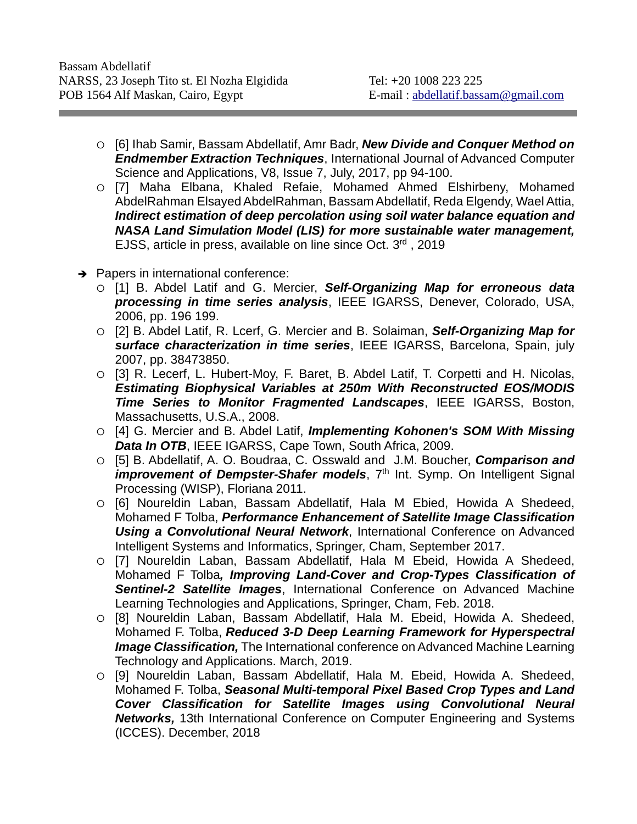- [6] Ihab Samir, Bassam Abdellatif, Amr Badr, *New Divide and Conquer Method on Endmember Extraction Techniques*, International Journal of Advanced Computer Science and Applications, V8, Issue 7, July, 2017, pp 94-100.
- [7] Maha Elbana, Khaled Refaie, Mohamed Ahmed Elshirbeny, Mohamed AbdelRahman Elsayed AbdelRahman, Bassam Abdellatif, Reda Elgendy, Wael Attia, *Indirect estimation of deep percolation using soil water balance equation and NASA Land Simulation Model (LIS) for more sustainable water management,* EJSS, article in press, available on line since Oct. 3rd , 2019
- $\rightarrow$  Papers in international conference:
	- [1] B. Abdel Latif and G. Mercier, *Self-Organizing Map for erroneous data processing in time series analysis*, IEEE IGARSS, Denever, Colorado, USA, 2006, pp. 196 199.
	- [2] B. Abdel Latif, R. Lcerf, G. Mercier and B. Solaiman, *Self-Organizing Map for surface characterization in time series*, IEEE IGARSS, Barcelona, Spain, july 2007, pp. 38473850.
	- [3] R. Lecerf, L. Hubert-Moy, F. Baret, B. Abdel Latif, T. Corpetti and H. Nicolas, *Estimating Biophysical Variables at 250m With Reconstructed EOS/MODIS Time Series to Monitor Fragmented Landscapes*, IEEE IGARSS, Boston, Massachusetts, U.S.A., 2008.
	- [4] G. Mercier and B. Abdel Latif, *Implementing Kohonen's SOM With Missing Data In OTB*, IEEE IGARSS, Cape Town, South Africa, 2009.
	- [5] B. Abdellatif, A. O. Boudraa, C. Osswald and J.M. Boucher, *Comparison and improvement of Dempster-Shafer models*, 7<sup>th</sup> Int. Symp. On Intelligent Signal Processing (WISP), Floriana 2011.
	- [6] Noureldin Laban, Bassam Abdellatif, Hala M Ebied, Howida A Shedeed, Mohamed F Tolba, *Performance Enhancement of Satellite Image Classification Using a Convolutional Neural Network*, International Conference on Advanced Intelligent Systems and Informatics, Springer, Cham, September 2017.
	- [7] Noureldin Laban, Bassam Abdellatif, Hala M Ebeid, Howida A Shedeed, Mohamed F Tolba*, Improving Land-Cover and Crop-Types Classification of Sentinel-2 Satellite Images*, International Conference on Advanced Machine Learning Technologies and Applications, Springer, Cham, Feb. 2018.
	- [8] Noureldin Laban, Bassam Abdellatif, Hala M. Ebeid, Howida A. Shedeed, Mohamed F. Tolba, *Reduced 3-D Deep Learning Framework for Hyperspectral Image Classification,* The International conference on Advanced Machine Learning Technology and Applications. March, 2019.
	- [9] Noureldin Laban, Bassam Abdellatif, Hala M. Ebeid, Howida A. Shedeed, Mohamed F. Tolba, *Seasonal Multi-temporal Pixel Based Crop Types and Land Cover Classification for Satellite Images using Convolutional Neural Networks,* 13th International Conference on Computer Engineering and Systems (ICCES). December, 2018